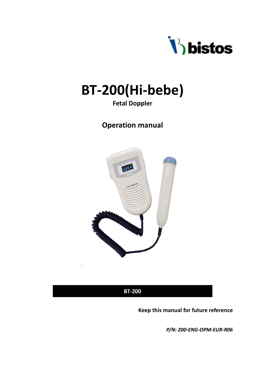

# **BT-200(Hi-bebe)**

### **Fetal Doppler**

### **Operation manual**



**BT-200**

.

**Keep this manual for future reference**

*P/N: 200-ENG-OPM-EUR-R06*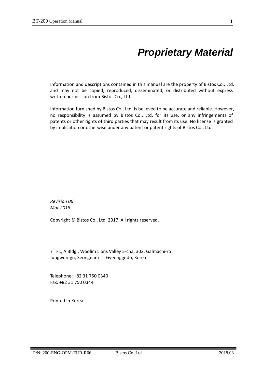# *Proprietary Material*

Information and descriptions contained in this manual are the property of Bistos Co., Ltd. and may not be copied, reproduced, disseminated, or distributed without express written permission from Bistos Co., Ltd.

Information furnished by Bistos Co., Ltd. is believed to be accurate and reliable. However, no responsibility is assumed by Bistos Co., Ltd. for its use, or any infringements of patents or other rights of third parties that may result from its use. No license is granted by implication or otherwise under any patent or patent rights of Bistos Co., Ltd.

*Revision 06 Mar,2018*

Copyright © Bistos Co., Ltd. 2017. All rights reserved.

 $7<sup>th</sup>$  Fl., A Bldg., Woolim Lions Valley 5-cha, 302, Galmachi-ro Jungwon-gu, Seongnam-si, Gyeonggi-do, Korea

Telephone: +82 31 750 0340 Fax: +82 31 750 0344

Printed in Korea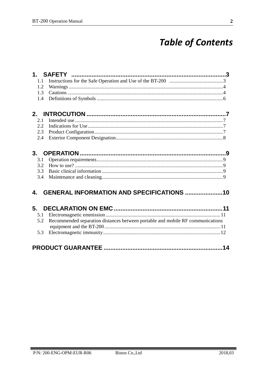# **Table of Contents**

| 1.1 |                                                                                |  |
|-----|--------------------------------------------------------------------------------|--|
| 1.2 |                                                                                |  |
| 1.3 |                                                                                |  |
| 1.4 |                                                                                |  |
| 2.  |                                                                                |  |
| 2.1 |                                                                                |  |
| 2.2 |                                                                                |  |
| 2.3 |                                                                                |  |
| 2.4 |                                                                                |  |
|     |                                                                                |  |
| 3.  |                                                                                |  |
| 3.1 |                                                                                |  |
| 3.2 |                                                                                |  |
| 3.3 |                                                                                |  |
| 3.4 |                                                                                |  |
| 4.  | GENERAL INFORMATION AND SPECIFICATIONS 10                                      |  |
|     |                                                                                |  |
| 5.  |                                                                                |  |
| 5.1 |                                                                                |  |
| 5.2 | Recommended separation distances between portable and mobile RF communications |  |
| 5.3 |                                                                                |  |
|     |                                                                                |  |
|     |                                                                                |  |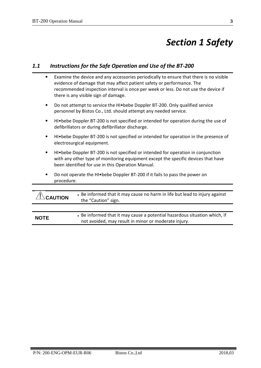# *Section 1 Safety*

### *1.1 Instructions for the Safe Operation and Use of the BT-200*

|   | Examine the device and any accessories periodically to ensure that there is no visible<br>evidence of damage that may affect patient safety or performance. The<br>recommended inspection interval is once per week or less. Do not use the device if<br>there is any visible sign of damage. |  |  |
|---|-----------------------------------------------------------------------------------------------------------------------------------------------------------------------------------------------------------------------------------------------------------------------------------------------|--|--|
|   | Do not attempt to service the HI. bebe Doppler BT-200. Only qualified service<br>personnel by Bistos Co., Ltd. should attempt any needed service.                                                                                                                                             |  |  |
|   | HI. bebee Doppler BT-200 is not specified or intended for operation during the use of<br>defibrillators or during defibrillator discharge.                                                                                                                                                    |  |  |
| ٠ | HI. bebee Doppler BT-200 is not specified or intended for operation in the presence of<br>electrosurgical equipment.                                                                                                                                                                          |  |  |
|   | HI. bebe Doppler BT-200 is not specified or intended for operation in conjunction<br>with any other type of monitoring equipment except the specific devices that have<br>been identified for use in this Operation Manual.                                                                   |  |  |
|   | Do not operate the HI•bebe Doppler BT-200 if it fails to pass the power on<br>procedure.                                                                                                                                                                                                      |  |  |
|   |                                                                                                                                                                                                                                                                                               |  |  |
|   | • Be informed that it may cause no harm in life but lead to injury against<br>the "Caution" sign.                                                                                                                                                                                             |  |  |
|   |                                                                                                                                                                                                                                                                                               |  |  |

**NOTE Be informed that it may cause a potential hazardous situation which, if** not avoided, may result in minor or moderate injury.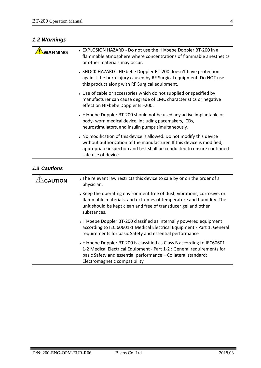### *1.2 Warnings*

| <b>WARNING</b> | • EXPLOSION HAZARD - Do not use the HI • bebe Doppler BT-200 in a<br>flammable atmosphere where concentrations of flammable anesthetics<br>or other materials may occur.                                                                             |
|----------------|------------------------------------------------------------------------------------------------------------------------------------------------------------------------------------------------------------------------------------------------------|
|                | • SHOCK HAZARD - HI • bebe Doppler BT-200 doesn't have protection<br>against the burn injury caused by RF Surgical equipment. Do NOT use<br>this product along with RF Surgical equipment.                                                           |
|                | • Use of cable or accessories which do not supplied or specified by<br>manufacturer can cause degrade of EMC characteristics or negative<br>effect on HI.bebe Doppler BT-200.                                                                        |
|                | • HI•bebe Doppler BT-200 should not be used any active implantable or<br>body- worn medical device, including pacemakers, ICDs,<br>neurostimulators, and insulin pumps simultaneously.                                                               |
|                | • No modification of this device is allowed. Do not modify this device<br>without authorization of the manufacturer. If this device is modified,<br>appropriate inspection and test shall be conducted to ensure continued<br>safe use of device.    |
| 1.3 Cautions   |                                                                                                                                                                                                                                                      |
| <b>CAUTION</b> | . The relevant law restricts this device to sale by or on the order of a<br>physician.                                                                                                                                                               |
|                | • Keep the operating environment free of dust, vibrations, corrosive, or<br>flammable materials, and extremes of temperature and humidity. The<br>unit should be kept clean and free of transducer gel and other<br>substances.                      |
|                | . HI•bebe Doppler BT-200 classified as internally powered equipment<br>according to IEC 60601-1 Medical Electrical Equipment - Part 1: General<br>requirements for basic Safety and essential performance                                            |
|                | • HI•bebe Doppler BT-200 is classified as Class B according to IEC60601-<br>1-2 Medical Electrical Equipment - Part 1-2 : General requirements for<br>basic Safety and essential performance - Collateral standard:<br>Electromagnetic compatibility |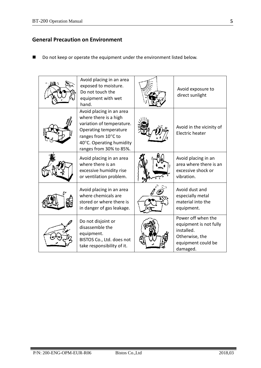### **General Precaution on Environment**

■ Do not keep or operate the equipment under the environment listed below.

| Avoid placing in an area<br>exposed to moisture.<br>Do not touch the<br>equipment with wet<br>hand.                                                                                   | Avoid exposure to<br>direct sunlight                                                                           |
|---------------------------------------------------------------------------------------------------------------------------------------------------------------------------------------|----------------------------------------------------------------------------------------------------------------|
| Avoid placing in an area<br>where there is a high<br>variation of temperature.<br>Operating temperature<br>ranges from 10°C to<br>40°C. Operating humidity<br>ranges from 30% to 85%. | Avoid in the vicinity of<br>Electric heater                                                                    |
| Avoid placing in an area<br>where there is an<br>excessive humidity rise<br>or ventilation problem.                                                                                   | Avoid placing in an<br>area where there is an<br>excessive shock or<br>vibration.                              |
| Avoid placing in an area<br>where chemicals are<br>stored or where there is<br>in danger of gas leakage.                                                                              | Avoid dust and<br>especially metal<br>material into the<br>equipment.                                          |
| Do not disjoint or<br>disassemble the<br>equipment.<br>BISTOS Co., Ltd. does not<br>take responsibility of it.                                                                        | Power off when the<br>equipment is not fully<br>installed.<br>Otherwise, the<br>equipment could be<br>damaged. |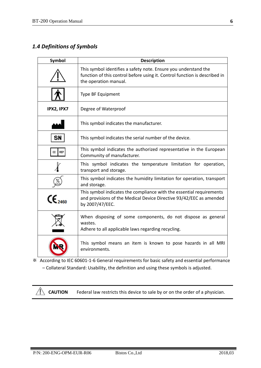### *1.4 Definitions of Symbols*

| Symbol           | <b>Description</b>                                                                                                                                                     |
|------------------|------------------------------------------------------------------------------------------------------------------------------------------------------------------------|
|                  | This symbol identifies a safety note. Ensure you understand the<br>function of this control before using it. Control function is described in<br>the operation manual. |
|                  | Type BF Equipment                                                                                                                                                      |
| IPX2, IPX7       | Degree of Waterproof                                                                                                                                                   |
|                  | This symbol indicates the manufacturer.                                                                                                                                |
| SN               | This symbol indicates the serial number of the device.                                                                                                                 |
| <b>REP</b><br>EC | This symbol indicates the authorized representative in the European<br>Community of manufacturer.                                                                      |
|                  | This symbol indicates the temperature limitation for operation,<br>transport and storage.                                                                              |
|                  | This symbol indicates the humidity limitation for operation, transport<br>and storage.                                                                                 |
|                  | This symbol indicates the compliance with the essential requirements<br>and provisions of the Medical Device Directive 93/42/EEC as amended<br>by 2007/47/EEC.         |
|                  | When disposing of some components, do not dispose as general<br>wastes.<br>Adhere to all applicable laws regarding recycling.                                          |
|                  | This symbol means an item is known to pose hazards in all MRI<br>environments.                                                                                         |

※ According to IEC 60601-1-6 General requirements for basic safety and essential performance – Collateral Standard: Usability, the definition and using these symbols is adjusted.



**CAUTION** Federal law restricts this device to sale by or on the order of a physician.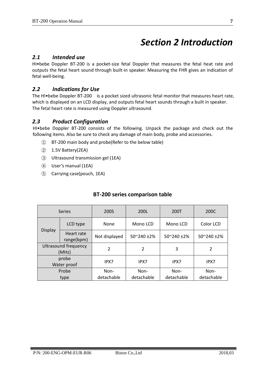# *Section 2 Introduction*

### *2.1 Intended use*

HI•bebe Doppler BT-200 is a pocket-size fetal Doppler that measures the fetal heat rate and outputs the fetal heart sound through built-in speaker. Measuring the FHR gives an indication of fetal well-being.

### *2.2 Indications for Use*

The HI•bebe Doppler BT-200 is a pocket sized ultrasonic fetal monitor that measures heart rate, which is displayed on an LCD display, and outputs fetal heart sounds through a built in speaker. The fetal heart rate is measured using Doppler ultrasound.

### *2.3 Product Configuration*

HI•bebe Doppler BT-200 consists of the following. Unpack the package and check out the following items. Also be sure to check any damage of main body, probe and accessories.

- ① BT-200 main body and probe(Refer to the below table)
- ② 1.5V Battery(2EA)
- ③ Ultrasound transmission gel (1EA)
- ④ User's manual (1EA)
- ⑤ Carrying case(pouch, 1EA)

| Series                        |                          | 200S           | 200L<br>200T        |                     | 200C                |
|-------------------------------|--------------------------|----------------|---------------------|---------------------|---------------------|
|                               | LCD type                 | None           | Mono LCD            | Mono LCD            | Color LCD           |
| Display                       | Heart rate<br>range(bpm) | Not displayed  | $50^{\circ}240$ ±2% | $50^{\circ}240$ ±2% | $50^{\circ}240$ ±2% |
| Ultrasound frequency<br>(MHz) |                          | $\overline{2}$ | 2                   | 3                   | 2                   |
| probe<br>Water proof          |                          | IPX7           | IPX7                | IPX7                | IPX7                |
| Probe                         |                          | Non-           | Non-                | Non-                | Non-                |
| type                          |                          | detachable     | detachable          | detachable          | detachable          |

### **BT-200 series comparison table**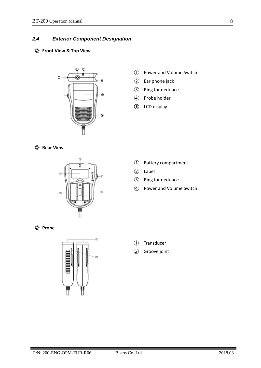### *2.4 Exterior Component Designation*

### ◎ **Front View & Top View**



- Power and Volume Switch
- Ear phone jack
- Ring for necklace
- Probe holder
- LCD display





- Battery compartment
- Label
- Ring for necklace
- Power and Volume Switch

◎ **Probe**



- Transducer
- Groove joint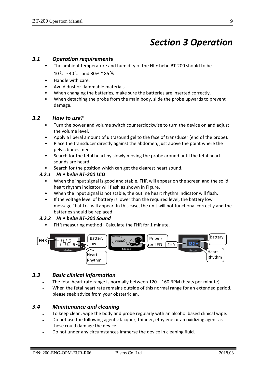### *Section 3 Operation*

### *3.1 Operation requirements*

- The ambient temperature and humidity of the HI bebe BT-200 should to be 10℃∼40℃ and 30% ~ 85%.
- Handle with care.
- Avoid dust or flammable materials.
- When changing the batteries, make sure the batteries are inserted correctly.
- When detaching the probe from the main body, slide the probe upwards to prevent damage.

### *3.2 How to use?*

- Turn the power and volume switch counterclockwise to turn the device on and adjust the volume level.
- Apply a liberal amount of ultrasound gel to the face of transducer (end of the probe).
- Place the transducer directly against the abdomen, just above the point where the pelvic bones meet.
- Search for the fetal heart by slowly moving the probe around until the fetal heart sounds are heard.
- Search for the position which can get the clearest heart sound.

#### *3.2.1 HI • bebe BT-200 LCD*

- When the input signal is good and stable, FHR will appear on the screen and the solid heart rhythm indicator will flash as shown in Figure.
- When the input signal is not stable, the outline heart rhythm indicator will flash.
- If the voltage level of battery is lower than the required level, the battery low message "bat Lo" will appear. In this case, the unit will not functional correctly and the batteries should be replaced.

### *3.2.2 HI • bebe BT-200 Sound*

• FHR measuring method : Calculate the FHR for 1 minute.



### *3.3 Basic clinical information*

- The fetal heart rate range is normally between  $120 160$  BPM (beats per minute).
- When the fetal heart rate remains outside of this normal range for an extended period, please seek advice from your obstetrician.

### *3.4 Maintenance and cleaning*

- To keep clean, wipe the body and probe regularly with an alcohol based clinical wipe.
- Do not use the following agents: lacquer, thinner, ethylene or an oxidizing agent as these could damage the device.
- Do not under any circumstances immerse the device in cleaning fluid.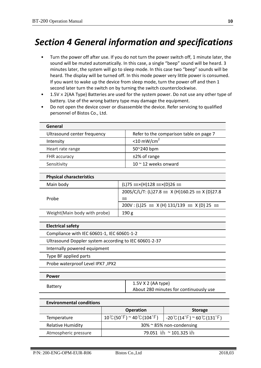# *Section 4 General information and specifications*

- Turn the power off after use. If you do not turn the power switch off, 1 minute later, the sound will be muted automatically. In this case, a single "beep" sound will be heard. 3 minutes later, the system will go to sleep mode. In this case two "beep" sounds will be heard. The display will be turned off. In this mode power very little power is consumed. If you want to wake up the device from sleep mode, turn the power off and then 1 second later turn the switch on by turning the switch counterclockwise.
- $1.5V \times 2(AA$  Type) Batteries are used for the system power. Do not use any other type of battery. Use of the wrong battery type may damage the equipment.
- Do not open the device cover or disassemble the device. Refer servicing to qualified personnel of Bistos Co., Ltd.

| General                         |                                         |
|---------------------------------|-----------------------------------------|
| Ultrasound center frequency     | Refer to the comparison table on page 7 |
| Intensity                       | $<$ 10 mW/cm <sup>2</sup>               |
| Heart rate range                | 50~240 bpm                              |
| <b>FHR</b> accuracy             | $±2\%$ of range                         |
| Sensitivity                     | 10 $\sim$ 12 weeks onward               |
|                                 |                                         |
| <b>Physical characteristics</b> |                                         |
|                                 |                                         |

| Main body                     | $(L)$ 75 mm× $(H)$ 128 mm× $(D)$ 26 mm          |  |
|-------------------------------|-------------------------------------------------|--|
|                               | 200S/C/L/T: (L)27.8 mm X (H)160.25 mm X (D)27.8 |  |
| Probe                         | mm                                              |  |
|                               | 200V: (L)25 mm X (H) 131/139 mm X (D) 25 mm     |  |
| Weight (Main body with probe) | 190 g                                           |  |
|                               |                                                 |  |

| <b>Electrical safety</b>                              |                                                                |  |
|-------------------------------------------------------|----------------------------------------------------------------|--|
| Compliance with IEC 60601-1, IEC 60601-1-2            |                                                                |  |
| Ultrasound Doppler system according to IEC 60601-2-37 |                                                                |  |
| Internally powered equipment                          |                                                                |  |
| Type BF applied parts                                 |                                                                |  |
| <b>Probe waterproof Level IPX7, IPX2</b>              |                                                                |  |
|                                                       |                                                                |  |
| <b>Power</b>                                          |                                                                |  |
| Battery                                               | $1.5V$ X 2 (AA type)<br>About 280 minutes for continuously use |  |

| <b>Environmental conditions</b> |                                                                     |                                                                           |  |  |  |
|---------------------------------|---------------------------------------------------------------------|---------------------------------------------------------------------------|--|--|--|
|                                 | <b>Operation</b>                                                    | <b>Storage</b>                                                            |  |  |  |
| Temperature                     | $10^{\circ}$ C(50 $^{\circ}$ F) ~ 40 $^{\circ}$ C(104 $^{\circ}$ F) | $-20$ $\degree$ (14 $\degree$ F) $\degree$ 60 $\degree$ (131 $\degree$ F) |  |  |  |
| <b>Relative Humidity</b>        | $30\%$ $\approx$ 85% non-condensing                                 |                                                                           |  |  |  |
| Atmospheric pressure            | 79.051 kPa ~ 101.325 kPa                                            |                                                                           |  |  |  |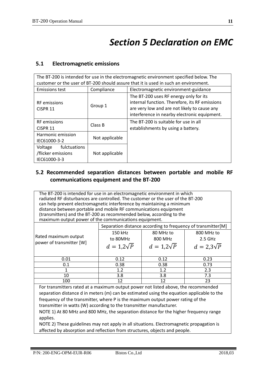# *Section 5 Declaration on EMC*

### **5.1 Electromagnetic emissions**

| The BT-200 is intended for use in the electromagnetic environment specified below. The |                |                                                                                                                                                                                          |  |  |
|----------------------------------------------------------------------------------------|----------------|------------------------------------------------------------------------------------------------------------------------------------------------------------------------------------------|--|--|
| customer or the user of BT-200 should assure that it is used in such an environment.   |                |                                                                                                                                                                                          |  |  |
| <b>Emissions test</b>                                                                  | Compliance     | Electromagnetic environment-guidance                                                                                                                                                     |  |  |
| <b>RF</b> emissions<br>CISPR <sub>11</sub>                                             | Group 1        | The BT-200 uses RF energy only for its<br>internal function. Therefore, its RF emissions<br>are very low and are not likely to cause any<br>interference in nearby electronic equipment. |  |  |
| <b>RF</b> emissions<br>CISPR <sub>11</sub>                                             | Class B        | The BT-200 is suitable for use in all<br>establishments by using a battery.                                                                                                              |  |  |
| Harmonic emission<br>IEC61000-3-2                                                      | Not applicable |                                                                                                                                                                                          |  |  |
| fulctuations<br>Voltage<br>/flicker emissions<br>IEC61000-3-3                          | Not applicable |                                                                                                                                                                                          |  |  |

### **5.2 Recommended separation distances between portable and mobile RF communications equipment and the BT-200**

The BT-200 is intended for use in an electromagnetic environment in which radiated RF disturbances are controlled. The customer or the user of the BT-200 can help prevent electromagnetic interference by maintaining a minimum distance between portable and mobile RF communications equipment (transmitters) and the BT-200 as recommended below, according to the maximum output power of the communications equipment.

|                          | Separation distance according to frequency of transmitter[M] |                 |                 |  |
|--------------------------|--------------------------------------------------------------|-----------------|-----------------|--|
|                          | 150 kHz                                                      | 80 MHz to       | 800 MHz to      |  |
| Rated maximum output     | to 80MHz                                                     | 800 MHz         | $2.5$ GHz       |  |
| power of transmitter [W] | $d=1,2\sqrt{P}$                                              | $d=1,2\sqrt{P}$ | $d=2.3\sqrt{P}$ |  |
|                          |                                                              |                 |                 |  |
| 0.01                     | 0.12                                                         | 0.12            | 0.23            |  |
| 0.1                      | 0.38                                                         | 0.38            | 0.73            |  |
|                          | 1.2                                                          | 1.2             | 2.3             |  |
| 10                       | 3.8                                                          | 3.8             | 7.3             |  |
| 100                      | 12                                                           | 12              | 23              |  |

For transmitters rated at a maximum output power not listed above, the recommended separation distance d in meters (m) can be estimated using the equation applicable to the frequency of the transmitter, where P is the maximum output power rating of the transmitter in watts (W) according to the transmitter manufacturer.

NOTE 1) At 80 MHz and 800 MHz, the separation distance for the higher frequency range applies.

NOTE 2) These guidelines may not apply in all situations. Electromagnetic propagation is affected by absorption and reflection from structures, objects and people.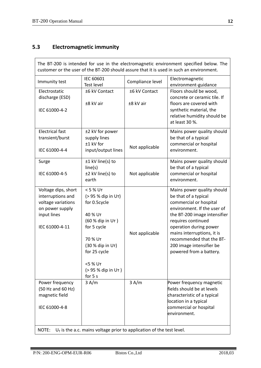### **5.3 Electromagnetic immunity**

| Immunity test                                                                                                      | IEC 60601<br>Test level                                                                                                                     | Compliance level | Electromagnetic<br>environment-guidance                                                                                                                                                                                                                                                                      |
|--------------------------------------------------------------------------------------------------------------------|---------------------------------------------------------------------------------------------------------------------------------------------|------------------|--------------------------------------------------------------------------------------------------------------------------------------------------------------------------------------------------------------------------------------------------------------------------------------------------------------|
| Electrostatic                                                                                                      | ±6 kV Contact                                                                                                                               | ±6 kV Contact    | Floors should be wood,                                                                                                                                                                                                                                                                                       |
| discharge (ESD)                                                                                                    |                                                                                                                                             |                  | concrete or ceramic tile. If                                                                                                                                                                                                                                                                                 |
| IEC 61000-4-2                                                                                                      | ±8 kV air                                                                                                                                   | ±8 kV air        | floors are covered with<br>synthetic material, the<br>relative humidity should be<br>at least 30 %.                                                                                                                                                                                                          |
| <b>Electrical fast</b>                                                                                             | ±2 kV for power                                                                                                                             |                  | Mains power quality should                                                                                                                                                                                                                                                                                   |
| transient/burst                                                                                                    | supply lines                                                                                                                                |                  | be that of a typical                                                                                                                                                                                                                                                                                         |
| IEC 61000-4-4                                                                                                      | ±1 kV for<br>input/output lines                                                                                                             | Not applicable   | commercial or hospital<br>environment.                                                                                                                                                                                                                                                                       |
| Surge                                                                                                              | ±1 kV line(s) to                                                                                                                            |                  | Mains power quality should                                                                                                                                                                                                                                                                                   |
|                                                                                                                    | line(s)                                                                                                                                     |                  | be that of a typical                                                                                                                                                                                                                                                                                         |
| IEC 61000-4-5                                                                                                      | ±2 kV line(s) to<br>earth                                                                                                                   | Not applicable   | commercial or hospital<br>environment.                                                                                                                                                                                                                                                                       |
| Voltage dips, short<br>interruptions and<br>voltage variations<br>on power supply<br>input lines<br>IEC 61000-4-11 | < 5 % UT<br>(> 95 % dip in Ur)<br>for 0.5cycle<br>40 % UT<br>(60 % dip in Ur)<br>for 5 cycle<br>70 % UT<br>(30 % dip in UT)<br>for 25 cycle | Not applicable   | Mains power quality should<br>be that of a typical<br>commercial or hospital<br>environment. If the user of<br>the BT-200 image intensifier<br>requires continued<br>operation during power<br>mains interruptions, it is<br>recommended that the BT-<br>200 image intensifier be<br>powered from a battery. |
|                                                                                                                    | <5 % UT<br>(> 95 % dip in Ur)<br>for 5 s                                                                                                    |                  |                                                                                                                                                                                                                                                                                                              |
| Power frequency                                                                                                    | 3 A/m                                                                                                                                       | 3 A/m            | Power frequency magnetic                                                                                                                                                                                                                                                                                     |
| (50 Hz and 60 Hz)                                                                                                  |                                                                                                                                             |                  | fields should be at levels                                                                                                                                                                                                                                                                                   |
| magnetic field                                                                                                     |                                                                                                                                             |                  | characteristic of a typical                                                                                                                                                                                                                                                                                  |
| IEC 61000-4-8                                                                                                      |                                                                                                                                             |                  | location in a typical<br>commercial or hospital<br>environment.                                                                                                                                                                                                                                              |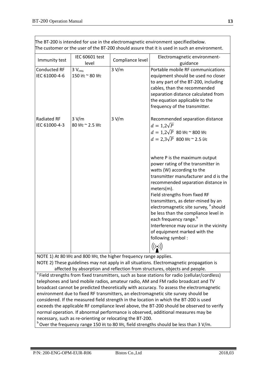| The BT-200 is intended for use in the electromagnetic environment specified below.<br>The customer or the user of the BT-200 should assure that it is used in such an environment. |                                                                    |                  |                                                                                                                                                                                                                                                                                                                                                                                                                                                                                                                                           |  |
|------------------------------------------------------------------------------------------------------------------------------------------------------------------------------------|--------------------------------------------------------------------|------------------|-------------------------------------------------------------------------------------------------------------------------------------------------------------------------------------------------------------------------------------------------------------------------------------------------------------------------------------------------------------------------------------------------------------------------------------------------------------------------------------------------------------------------------------------|--|
| Immunity test                                                                                                                                                                      | IEC 60601 test<br>level                                            | Compliance level | Electromagnetic environment-<br>guidance                                                                                                                                                                                                                                                                                                                                                                                                                                                                                                  |  |
| <b>Conducted RF</b><br>IEC 61000-4-6                                                                                                                                               | $3V_{rms}$<br>150 kHz ~ 80 MHz                                     | 3 V/m            | Portable mobile RF communications<br>equipment should be used no closer<br>to any part of the BT-200, including<br>cables, than the recommended<br>separation distance calculated from<br>the equation applicable to the<br>frequency of the transmitter.                                                                                                                                                                                                                                                                                 |  |
| Radiated RF<br>IEC 61000-4-3                                                                                                                                                       | 3 V/m<br>80 MHz ~ 2.5 MHz                                          | 3 V/m            | Recommended separation distance<br>$d=1.2\sqrt{P}$<br>$d=1,2\sqrt{P}$ 80 MHz ~ 800 MHz<br>$d = 2.3\sqrt{P}$ 800 MHz ~ 2.5 GHz                                                                                                                                                                                                                                                                                                                                                                                                             |  |
|                                                                                                                                                                                    |                                                                    |                  | where P is the maximum output<br>power rating of the transmitter in<br>watts (W) according to the<br>transmitter manufacturer and d is the<br>recommended separation distance in<br>meters(m).<br>Field strengths from fixed RF<br>transmitters, as deter-mined by an<br>electromagnetic site survey, <sup>a</sup> should<br>be less than the compliance level in<br>each frequency range. <sup>"</sup><br>Interference may occur in the vicinity<br>of equipment marked with the<br>following symbol:<br>$\big((\underline{\cdot})\big)$ |  |
|                                                                                                                                                                                    | NOTE 1) At 80 MHz and 800 MHz, the higher frequency range applies. |                  | NOTE 2) These guidelines may not apply in all situations. Electromagnetic propagation is                                                                                                                                                                                                                                                                                                                                                                                                                                                  |  |
|                                                                                                                                                                                    |                                                                    |                  | affected by absorption and reflection from structures, objects and people.                                                                                                                                                                                                                                                                                                                                                                                                                                                                |  |

<sup>a</sup> Field strengths from fixed transmitters, such as base stations for radio (cellular/cordless) telephones and land mobile radios, amateur radio, AM and FM radio broadcast and TV broadcast cannot be predicted theoretically with accuracy. To assess the electromagnetic environment due to fixed RF transmitters, an electromagnetic site survey should be considered. If the measured field strength in the location in which the BT-200 is used exceeds the applicable RF compliance level above, the BT-200 should be observed to verify normal operation. If abnormal performance is observed, additional measures may be necessary, such as re-orienting or relocating the BT-200. <sup>b</sup>

 $^{\circ}$  Over the frequency range 150 kHz to 80 MHz, field strengths should be less than 3 V/m.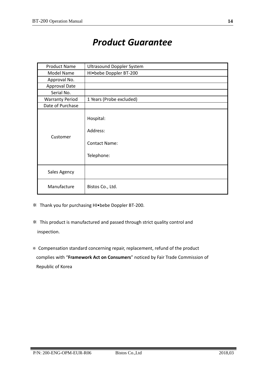# *Product Guarantee*

| <b>Product Name</b>    | <b>Ultrasound Doppler System</b>                            |  |
|------------------------|-------------------------------------------------------------|--|
| Model Name             | HI.bebe Doppler BT-200                                      |  |
| Approval No.           |                                                             |  |
| <b>Approval Date</b>   |                                                             |  |
| Serial No.             |                                                             |  |
| <b>Warranty Period</b> | 1 Years (Probe excluded)                                    |  |
| Date of Purchase       |                                                             |  |
| Customer               | Hospital:<br>Address:<br><b>Contact Name:</b><br>Telephone: |  |
| Sales Agency           |                                                             |  |
| Manufacture            | Bistos Co., Ltd.                                            |  |

- ※ Thank you for purchasing HI•bebe Doppler BT-200.
- ※ This product is manufactured and passed through strict quality control and inspection.
- ※ Compensation standard concerning repair, replacement, refund of the product complies with "**Framework Act on Consumers**" noticed by Fair Trade Commission of Republic of Korea